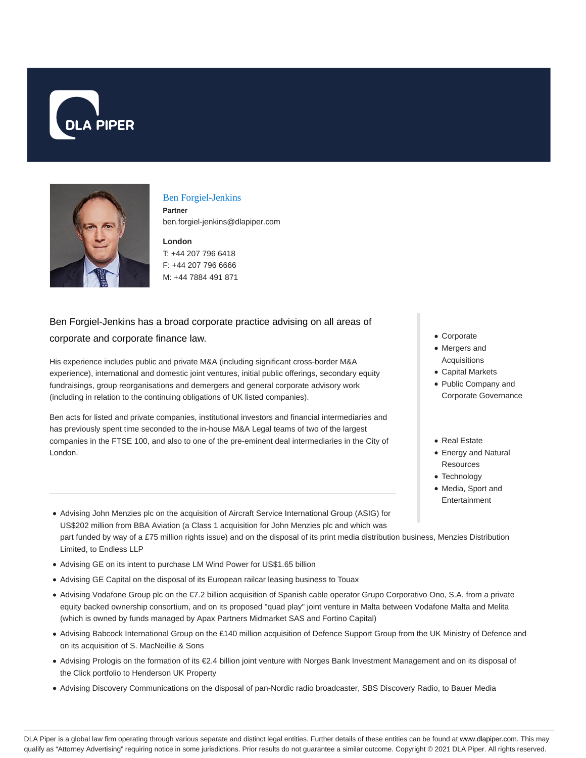



#### Ben Forgiel-Jenkins

**Partner** ben.forgiel-jenkins@dlapiper.com

#### **London**

T: +44 207 796 6418 F: +44 207 796 6666 M: +44 7884 491 871

# Ben Forgiel-Jenkins has a broad corporate practice advising on all areas of corporate and corporate finance law.

His experience includes public and private M&A (including significant cross-border M&A experience), international and domestic joint ventures, initial public offerings, secondary equity fundraisings, group reorganisations and demergers and general corporate advisory work (including in relation to the continuing obligations of UK listed companies).

Ben acts for listed and private companies, institutional investors and financial intermediaries and has previously spent time seconded to the in-house M&A Legal teams of two of the largest companies in the FTSE 100, and also to one of the pre-eminent deal intermediaries in the City of London.

- Advising John Menzies plc on the acquisition of Aircraft Service International Group (ASIG) for US\$202 million from BBA Aviation (a Class 1 acquisition for John Menzies plc and which was part funded by way of a £75 million rights issue) and on the disposal of its print media distribution business, Menzies Distribution Limited, to Endless LLP
- Advising GE on its intent to purchase LM Wind Power for US\$1.65 billion
- Advising GE Capital on the disposal of its European railcar leasing business to Touax
- Advising Vodafone Group plc on the €7.2 billion acquisition of Spanish cable operator Grupo Corporativo Ono, S.A. from a private equity backed ownership consortium, and on its proposed "quad play" joint venture in Malta between Vodafone Malta and Melita (which is owned by funds managed by Apax Partners Midmarket SAS and Fortino Capital)
- Advising Babcock International Group on the £140 million acquisition of Defence Support Group from the UK Ministry of Defence and on its acquisition of S. MacNeillie & Sons
- Advising Prologis on the formation of its €2.4 billion joint venture with Norges Bank Investment Management and on its disposal of the Click portfolio to Henderson UK Property
- Advising Discovery Communications on the disposal of pan-Nordic radio broadcaster, SBS Discovery Radio, to Bauer Media
- Corporate
- Mergers and Acquisitions
- Capital Markets
- Public Company and Corporate Governance
- Real Estate
- Energy and Natural **Resources**
- Technology
- Media, Sport and Entertainment

DLA Piper is a global law firm operating through various separate and distinct legal entities. Further details of these entities can be found at www.dlapiper.com. This may qualify as "Attorney Advertising" requiring notice in some jurisdictions. Prior results do not guarantee a similar outcome. Copyright @ 2021 DLA Piper. All rights reserved.